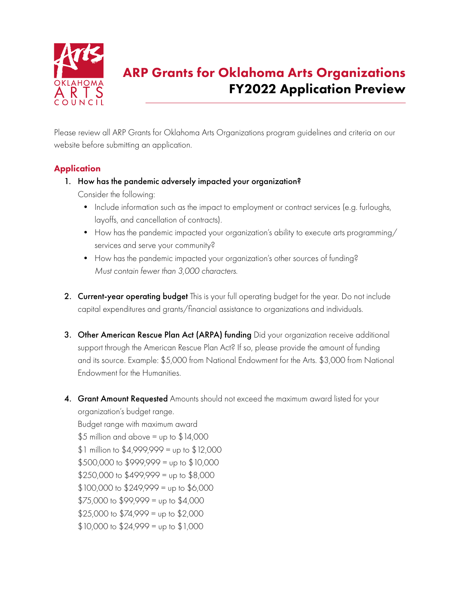

# ARP Grants for Oklahoma Arts Organizations FY2022 Application Preview

Please review all ARP Grants for Oklahoma Arts Organizations program guidelines and criteria on our website before submitting an application.

# **Application**

1. How has the pandemic adversely impacted your organization?

Consider the following:

- Include information such as the impact to employment or contract services (e.g. furloughs, layoffs, and cancellation of contracts).
- How has the pandemic impacted your organization's ability to execute arts programming/ services and serve your community?
- How has the pandemic impacted your organization's other sources of funding? *Must contain fewer than 3,000 characters.*
- 2. Current-year operating budget This is your full operating budget for the year. Do not include capital expenditures and grants/financial assistance to organizations and individuals.
- 3. Other American Rescue Plan Act (ARPA) funding Did your organization receive additional support through the American Rescue Plan Act? If so, please provide the amount of funding and its source. Example: \$5,000 from National Endowment for the Arts. \$3,000 from National Endowment for the Humanities.
- 4. Grant Amount Requested Amounts should not exceed the maximum award listed for your organization's budget range.

Budget range with maximum award  $$5$  million and above = up to  $$14,000$  $$1$  million to  $$4,999,999 =$  up to  $$12,000$  $$500,000$  to  $$999,999 =$  up to  $$10,000$  $$250,000$  to  $$499,999$  = up to  $$8,000$  $$100,000$  to  $$249,999$  = up to  $$6,000$  $$75,000$  to  $$99,999$  = up to  $$4,000$  $$25,000$  to  $$74,999$  = up to  $$2,000$  $$10,000$  to  $$24,999$  = up to  $$1,000$